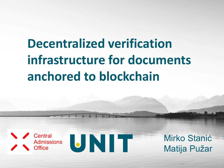# **Decentralized verification infrastructure for documents anchored to blockchain**





Mirko Stanić Matija Pužar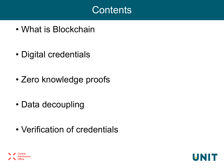#### **Contents**

- What is Blockchain
- Digital credentials
- Zero knowledge proofs
- Data decoupling
- Verification of credentials



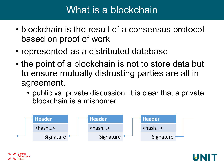#### What is a blockchain

- blockchain is the result of a consensus protocol based on proof of work
- represented as a distributed database
- the point of a blockchain is not to store data but to ensure mutually distrusting parties are all in agreement.
	- public vs. private discussion: it is clear that a private blockchain is a misnomer



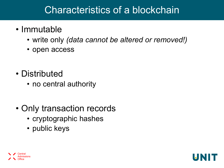#### Characteristics of a blockchain

- Immutable
	- write only *(data cannot be altered or removed!)*
	- open access
- Distributed
	- no central authority
- Only transaction records
	- cryptographic hashes
	- public keys



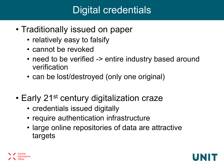# Digital credentials

- Traditionally issued on paper
	- relatively easy to falsify
	- cannot be revoked
	- need to be verified -> entire industry based around verification
	- can be lost/destroyed (only one original)
- Early 21<sup>st</sup> century digitalization craze
	- credentials issued digitally
	- require authentication infrastructure
	- large online repositories of data are attractive targets

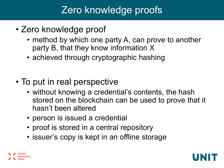# Zero knowledge proofs

- Zero knowledge proof
	- method by which one party A, can prove to another party B, that they know information X
	- achieved through cryptographic hashing
- To put in real perspective
	- without knowing a credential's contents, the hash stored on the blockchain can be used to prove that it hasn't been altered
	- person is issued a credential
	- proof is stored in a central repository
	- issuer's copy is kept in an offline storage



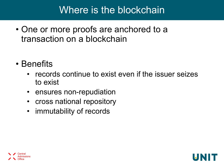#### Where is the blockchain

- One or more proofs are anchored to a transaction on a blockchain
- Benefits
	- records continue to exist even if the issuer seizes to exist
	- ensures non-repudiation
	- cross national repository
	- immutability of records



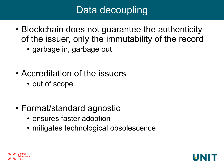# Data decoupling

- Blockchain does not guarantee the authenticity of the issuer, only the immutability of the record
	- garbage in, garbage out
- Accreditation of the issuers
	- out of scope
- Format/standard agnostic
	- ensures faster adoption
	- mitigates technological obsolescence

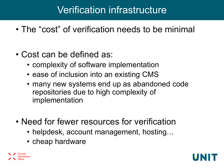# Verification infrastructure

- The "cost" of verification needs to be minimal
- Cost can be defined as:
	- complexity of software implementation
	- ease of inclusion into an existing CMS
	- many new systems end up as abandoned code repositories due to high complexity of implementation
- Need for fewer resources for verification
	- helpdesk, account management, hosting…
	- cheap hardware



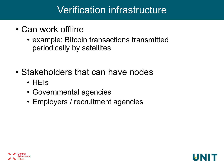## Verification infrastructure

- Can work offline
	- example: Bitcoin transactions transmitted periodically by satellites
- Stakeholders that can have nodes
	- HEIs
	- Governmental agencies
	- Employers / recruitment agencies

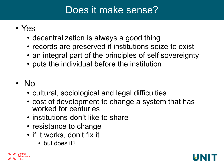# Does it make sense?

- Yes
	- decentralization is always a good thing
	- records are preserved if institutions seize to exist
	- an integral part of the principles of self sovereignty
	- puts the individual before the institution
- No
	- cultural, sociological and legal difficulties
	- cost of development to change a system that has worked for centuries
	- institutions don't like to share
	- resistance to change
	- if it works, don't fix it
		- but does it?